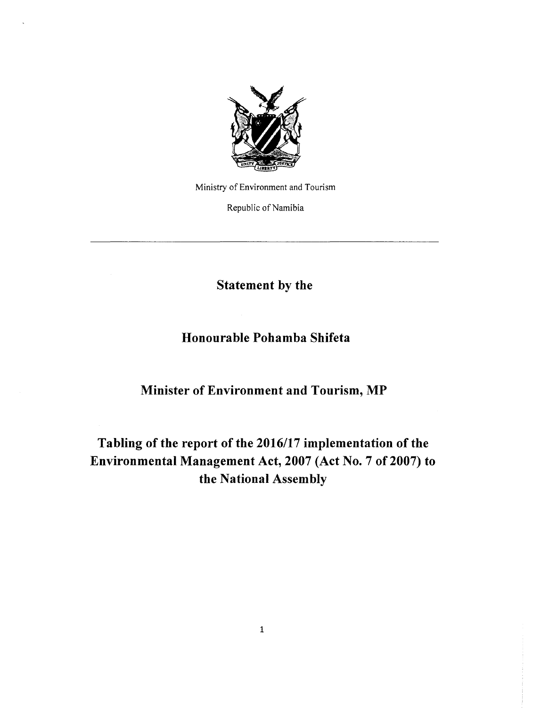

Ministry of Environment and Tourism

Republic of Namibia

**Statement by the**

**Honourable Pohamba Shifeta**

**Minister of Environment and Tourism, MP**

**Tabling of the report of the** *2016117* **implementation of the Environmental Management Act, 2007 (Act No. 7** of 2007) **to the National Assembly**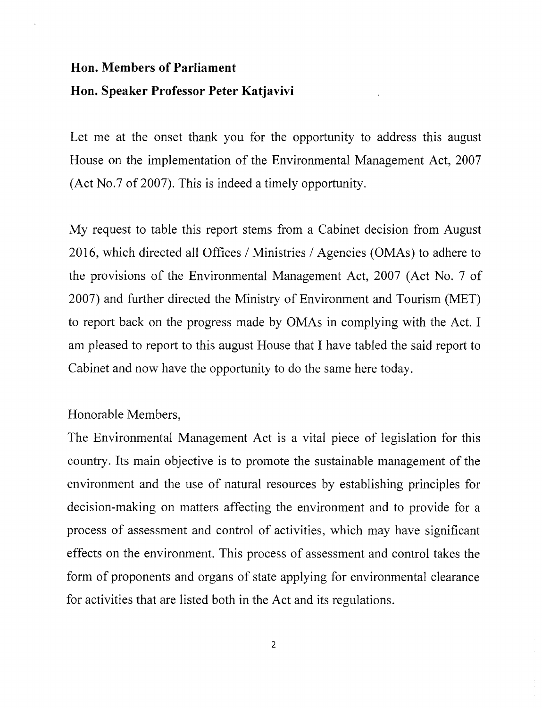## **Hon. Members of Parliament Hon. Speaker Professor Peter Katjavivi**

Let me at the onset thank you for the opportunity to address this august House on the implementation of the Environmental Management Act, 2007 (Act No.7 of 2007). This is indeed a timely opportunity.

My request to table this report stems from a Cabinet decision from August 2016, which directed all Offices / Ministries / Agencies (OMAs) to adhere to the provisions of the Environmental Management Act, 2007 (Act No. 7 of 2007) and further directed the Ministry of Environment and Tourism (MET) to report back on the progress made by OMAs in complying with the Act. I am pleased to report to this august House that I have tabled the said report to Cabinet and now have the opportunity to do the same here today.

## Honorable Members,

The Environmental Management Act is a vital piece of legislation for this country. Its main objective is to promote the sustainable management of the environment and the use of natural resources by establishing principles for decision-making on matters affecting the environment and to provide for a process of assessment and control of activities, which may have significant effects on the environment. This process of assessment and control takes the form of proponents and organs of state applying for environmental clearance for activities that are listed both in the Act and its regulations.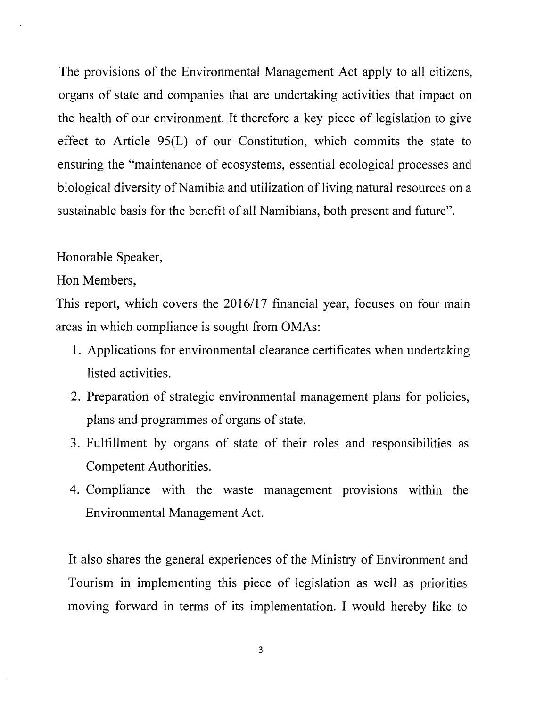The provisions of the Environmental Management Act apply to all citizens, organs of state and companies that are undertaking activities that impact on the health of our environment. It therefore a key piece of legislation to give effect to Article 95(L) of our Constitution, which commits the state to ensuring the "maintenance of ecosystems, essential ecological processes and biological diversity of Namibia and utilization of living natural resources on a sustainable basis for the benefit of all Namibians, both present and future".

## Honorable Speaker,

Hon Members,

This report, which covers the 2016/17 financial year, focuses on four main areas in which compliance is sought from OMAs:

- 1. Applications for environmental clearance certificates when undertaking listed activities.
- 2. Preparation of strategic environmental management plans for policies, plans and programmes of organs of state.
- 3. Fulfillment by organs of state of their roles and responsibilities as Competent Authorities.
- 4. Compliance with the waste management provisions within the Environmental Management Act.

It also shares the general experiences of the Ministry of Environment and Tourism in implementing this piece of legislation as well as priorities moving forward in terms of its implementation. I would hereby like to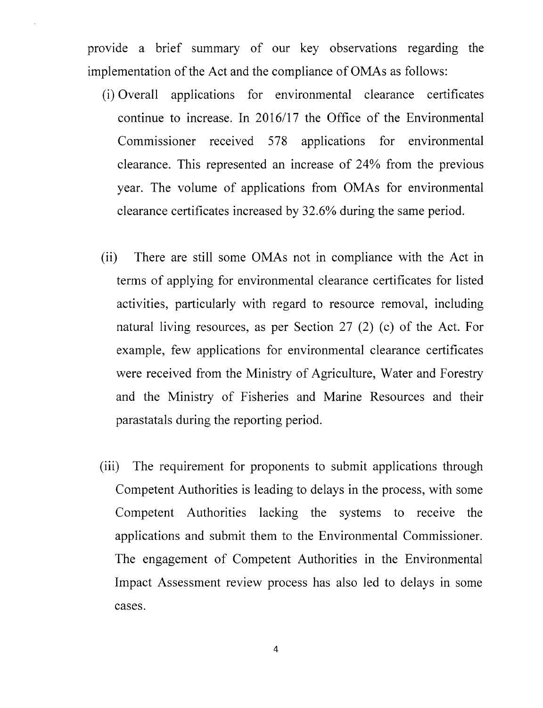provide a brief summary of our key observations regarding the implementation of the Act and the compliance of OMAs as follows:

- (i) Overall applications for environmental clearance certificates continue to increase. In 2016/17 the Office of the Environmental Commissioner received 578 applications for environmental clearance. This represented an increase of 24% from the previous year. The volume of applications from OMAs for environmental clearance certificates increased by 32.6% during the same period.
- (ii) There are still some OMAs not in compliance with the Act in terms of applying for environmental clearance certificates for listed activities, particularly with regard to resource removal, including natural living resources, as per Section 27 (2) (c) of the Act. For example, few applications for environmental clearance certificates were received from the Ministry of Agriculture, Water and Forestry and the Ministry of Fisheries and Marine Resources and their parastatals during the reporting period.
- (iii) The requirement for proponents to submit applications through Competent Authorities is leading to delays in the process, with some Competent Authorities lacking the systems to receive the applications and submit them to the Environmental Commissioner. The engagement of Competent Authorities in the Environmental Impact Assessment review process has also led to delays in some cases.

4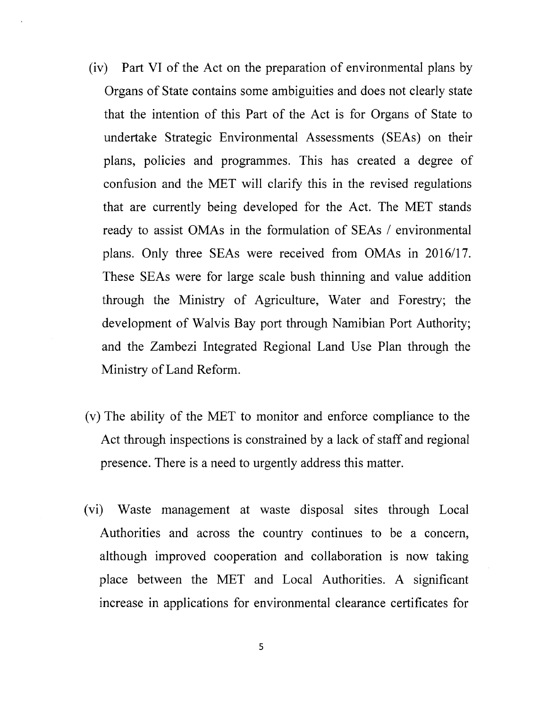- (iv) Part VI of the Act on the preparation of environmental plans by Organs of State contains some ambiguities and does not clearly state that the intention of this Part of the Act is for Organs of State to undertake Strategic Environmental Assessments (SEAs) on their plans, policies and programmes. This has created a degree of confusion and the MET will clarify this in the revised regulations that are currently being developed for the Act. The MET stands ready to assist OMAs in the formulation of SEAs *1* environmental plans. Only three SEAs were received from OMAs in *2016/17.* These SEAs were for large scale bush thinning and value addition through the Ministry of Agriculture, Water and Forestry; the development of Walvis Bay port through Namibian Port Authority; and the Zambezi Integrated Regional Land Use Plan through the Ministry of Land Reform.
- (v) The ability of the MET to monitor and enforce compliance to the Act through inspections is constrained by a lack of staff and regional presence. There is a need to urgently address this matter.
- (vi) Waste management at waste disposal sites through Local Authorities and across the country continues to be a concern, although improved cooperation and collaboration is now taking place between the MET and Local Authorities. A significant increase in applications for environmental clearance certificates for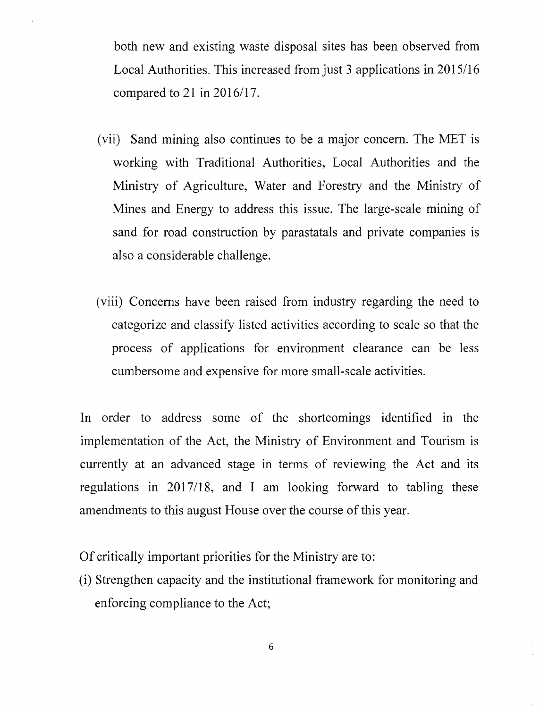both new and existing waste disposal sites has been observed from Local Authorities. This increased from just 3 applications in 2015/16 compared to 21 in *2016/17.*

- (vii) Sand mining also continues to be a major concern. The MET is working with Traditional Authorities, Local Authorities and the Ministry of Agriculture, Water and Forestry and the Ministry of Mines and Energy to address this issue. The large-scale mining of sand for road construction by parastatals and private companies is also a considerable challenge.
- (viii) Concerns have been raised from industry regarding the need to categorize and classify listed activities according to scale so that the process of applications for environment clearance can be less cumbersome and expensive for more small-scale activities.

In order to address some of the shortcomings identified in the implementation of the Act, the Ministry of Environment and Tourism is currently at an advanced stage in terms of reviewing the Act and its regulations in 2017/18, and I am looking forward to tabling these amendments to this august House over the course of this year.

Of critically important priorities for the Ministry are to:

(i) Strengthen capacity and the institutional framework for monitoring and enforcing compliance to the Act;

6